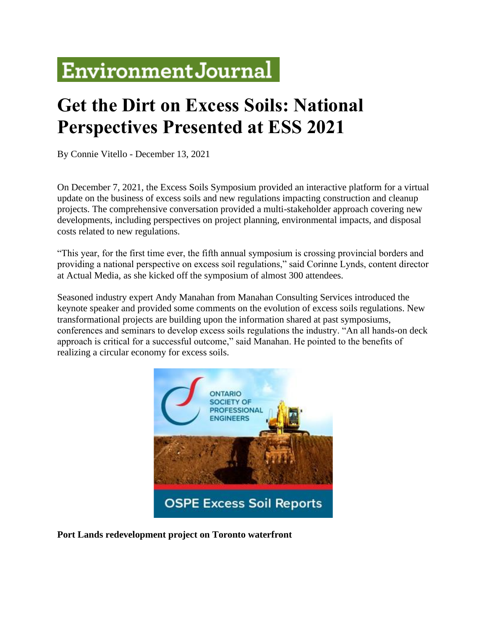# **Environment Journal**

## **Get the Dirt on Excess Soils: National Perspectives Presented at ESS 2021**

By Connie Vitello - December 13, 2021

On December 7, 2021, the Excess Soils Symposium provided an interactive platform for a virtual update on the business of excess soils and new regulations impacting construction and cleanup projects. The comprehensive conversation provided a multi-stakeholder approach covering new developments, including perspectives on project planning, environmental impacts, and disposal costs related to new regulations.

"This year, for the first time ever, the fifth annual symposium is crossing provincial borders and providing a national perspective on excess soil regulations," said Corinne Lynds, content director at Actual Media, as she kicked off the symposium of almost 300 attendees.

Seasoned industry expert Andy Manahan from Manahan Consulting Services introduced the keynote speaker and provided some comments on the evolution of excess soils regulations. New transformational projects are building upon the information shared at past symposiums, conferences and seminars to develop excess soils regulations the industry. "An all hands-on deck approach is critical for a successful outcome," said Manahan. He pointed to the benefits of realizing a circular economy for excess soils.



**Port Lands redevelopment project on Toronto waterfront**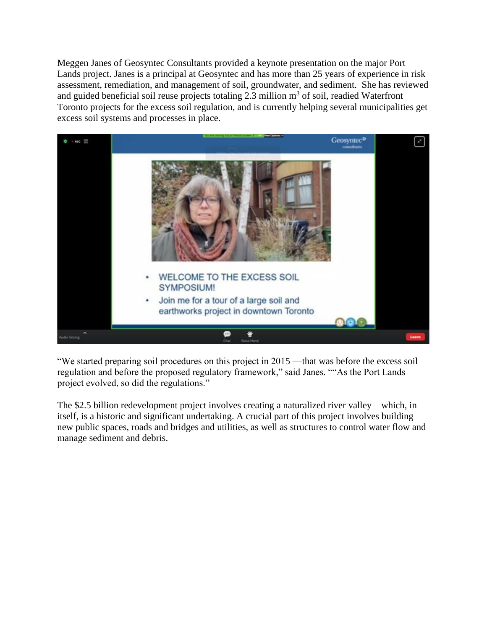Meggen Janes of Geosyntec Consultants provided a keynote presentation on the major Port Lands project. Janes is a principal at Geosyntec and has more than 25 years of experience in risk assessment, remediation, and management of soil, groundwater, and sediment. She has reviewed and guided beneficial soil reuse projects totaling 2.3 million  $m<sup>3</sup>$  of soil, readied Waterfront Toronto projects for the excess soil regulation, and is currently helping several municipalities get excess soil systems and processes in place.



"We started preparing soil procedures on this project in 2015 —that was before the excess soil regulation and before the proposed regulatory framework," said Janes. ""As the Port Lands project evolved, so did the regulations."

The \$2.5 billion redevelopment project involves creating a naturalized river valley—which, in itself, is a historic and significant undertaking. A crucial part of this project involves building new public spaces, roads and bridges and utilities, as well as structures to control water flow and manage sediment and debris.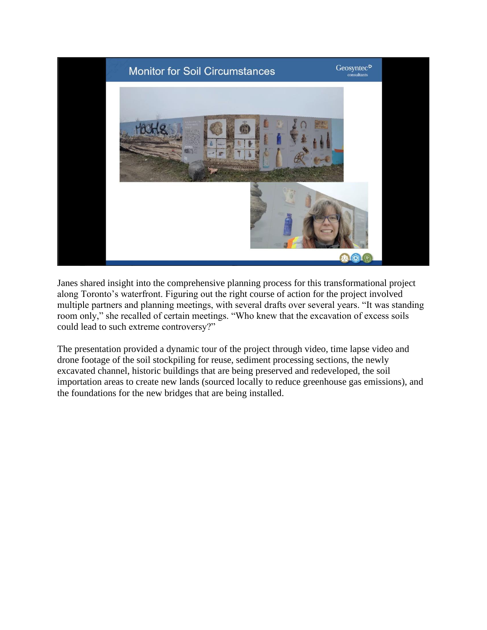

Janes shared insight into the comprehensive planning process for this transformational project along Toronto's waterfront. Figuring out the right course of action for the project involved multiple partners and planning meetings, with several drafts over several years. "It was standing room only," she recalled of certain meetings. "Who knew that the excavation of excess soils could lead to such extreme controversy?"

The presentation provided a dynamic tour of the project through video, time lapse video and drone footage of the soil stockpiling for reuse, sediment processing sections, the newly excavated channel, historic buildings that are being preserved and redeveloped, the soil importation areas to create new lands (sourced locally to reduce greenhouse gas emissions), and the foundations for the new bridges that are being installed.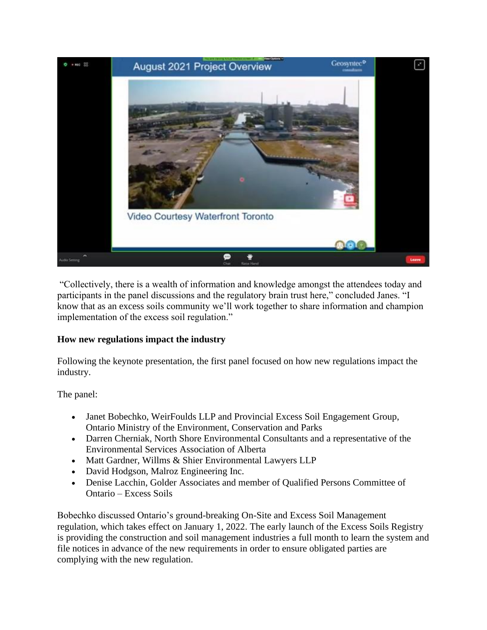

"Collectively, there is a wealth of information and knowledge amongst the attendees today and participants in the panel discussions and the regulatory brain trust here," concluded Janes. "I know that as an excess soils community we'll work together to share information and champion implementation of the excess soil regulation."

#### **How new regulations impact the industry**

Following the keynote presentation, the first panel focused on how new regulations impact the industry.

The panel:

- Janet Bobechko, WeirFoulds LLP and Provincial Excess Soil Engagement Group, Ontario Ministry of the Environment, Conservation and Parks
- Darren Cherniak, North Shore Environmental Consultants and a representative of the Environmental Services Association of Alberta
- Matt Gardner, Willms & Shier Environmental Lawyers LLP
- David Hodgson, Malroz Engineering Inc.
- Denise Lacchin, Golder Associates and member of Qualified Persons Committee of Ontario – Excess Soils

Bobechko discussed Ontario's ground-breaking On-Site and Excess Soil Management regulation, which takes effect on January 1, 2022. The early launch of the Excess Soils Registry is providing the construction and soil management industries a full month to learn the system and file notices in advance of the new requirements in order to ensure obligated parties are complying with the new regulation.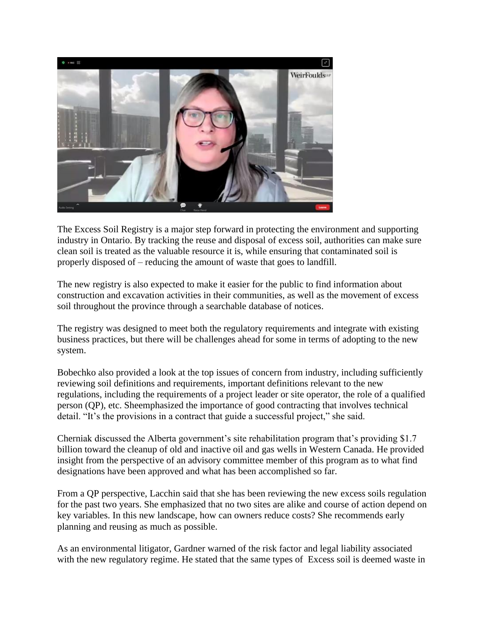

The Excess Soil Registry is a major step forward in protecting the environment and supporting industry in Ontario. By tracking the reuse and disposal of excess soil, authorities can make sure clean soil is treated as the valuable resource it is, while ensuring that contaminated soil is properly disposed of – reducing the amount of waste that goes to landfill.

The new registry is also expected to make it easier for the public to find information about construction and excavation activities in their communities, as well as the movement of excess soil throughout the province through a searchable database of notices.

The registry was designed to meet both the regulatory requirements and integrate with existing business practices, but there will be challenges ahead for some in terms of adopting to the new system.

Bobechko also provided a look at the top issues of concern from industry, including sufficiently reviewing soil definitions and requirements, important definitions relevant to the new regulations, including the requirements of a project leader or site operator, the role of a qualified person (QP), etc. Sheemphasized the importance of good contracting that involves technical detail. "It's the provisions in a contract that guide a successful project," she said.

Cherniak discussed the Alberta government's site rehabilitation program that's providing \$1.7 billion toward the cleanup of old and inactive oil and gas wells in Western Canada. He provided insight from the perspective of an advisory committee member of this program as to what find designations have been approved and what has been accomplished so far.

From a QP perspective, Lacchin said that she has been reviewing the new excess soils regulation for the past two years. She emphasized that no two sites are alike and course of action depend on key variables. In this new landscape, how can owners reduce costs? She recommends early planning and reusing as much as possible.

As an environmental litigator, Gardner warned of the risk factor and legal liability associated with the new regulatory regime. He stated that the same types of Excess soil is deemed waste in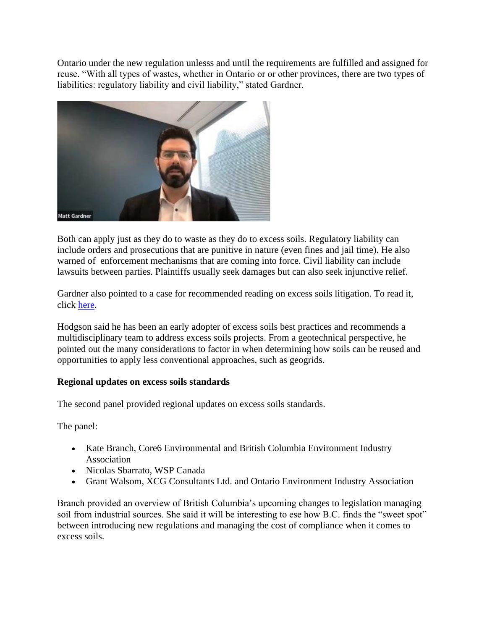Ontario under the new regulation unlesss and until the requirements are fulfilled and assigned for reuse. "With all types of wastes, whether in Ontario or or other provinces, there are two types of liabilities: regulatory liability and civil liability," stated Gardner.



Both can apply just as they do to waste as they do to excess soils. Regulatory liability can include orders and prosecutions that are punitive in nature (even fines and jail time). He also warned of enforcement mechanisms that are coming into force. Civil liability can include lawsuits between parties. Plaintiffs usually seek damages but can also seek injunctive relief.

Gardner also pointed to a case for recommended reading on excess soils litigation. To read it, click [here.](https://www.loopstranixon.com/files/20210326_-_Kawartha_Lakes_v_Grills.pdf)

Hodgson said he has been an early adopter of excess soils best practices and recommends a multidisciplinary team to address excess soils projects. From a geotechnical perspective, he pointed out the many considerations to factor in when determining how soils can be reused and opportunities to apply less conventional approaches, such as geogrids.

#### **Regional updates on excess soils standards**

The second panel provided regional updates on excess soils standards.

The panel:

- Kate Branch, Core6 Environmental and British Columbia Environment Industry Association
- Nicolas Sbarrato, WSP Canada
- Grant Walsom, XCG Consultants Ltd. and Ontario Environment Industry Association

Branch provided an overview of British Columbia's upcoming changes to legislation managing soil from industrial sources. She said it will be interesting to ese how B.C. finds the "sweet spot" between introducing new regulations and managing the cost of compliance when it comes to excess soils.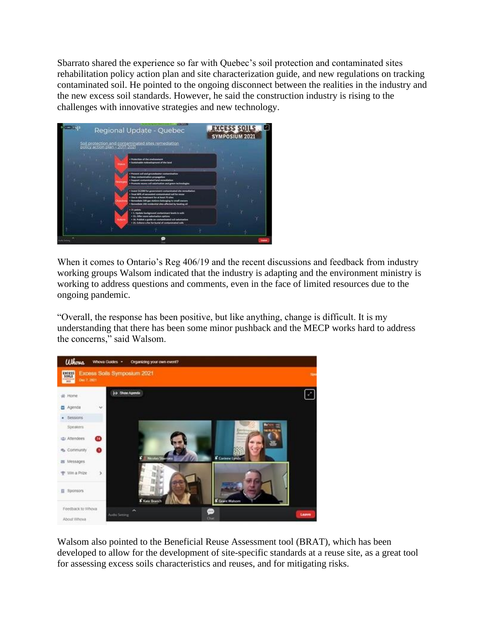Sbarrato shared the experience so far with Quebec's soil protection and contaminated sites rehabilitation policy action plan and site characterization guide, and new regulations on tracking contaminated soil. He pointed to the ongoing disconnect between the realities in the industry and the new excess soil standards. However, he said the construction industry is rising to the challenges with innovative strategies and new technology.



When it comes to Ontario's Reg 406/19 and the recent discussions and feedback from industry working groups Walsom indicated that the industry is adapting and the environment ministry is working to address questions and comments, even in the face of limited resources due to the ongoing pandemic.

"Overall, the response has been positive, but like anything, change is difficult. It is my understanding that there has been some minor pushback and the MECP works hard to address the concerns," said Walsom.



Walsom also pointed to the Beneficial Reuse Assessment tool (BRAT), which has been developed to allow for the development of site-specific standards at a reuse site, as a great tool for assessing excess soils characteristics and reuses, and for mitigating risks.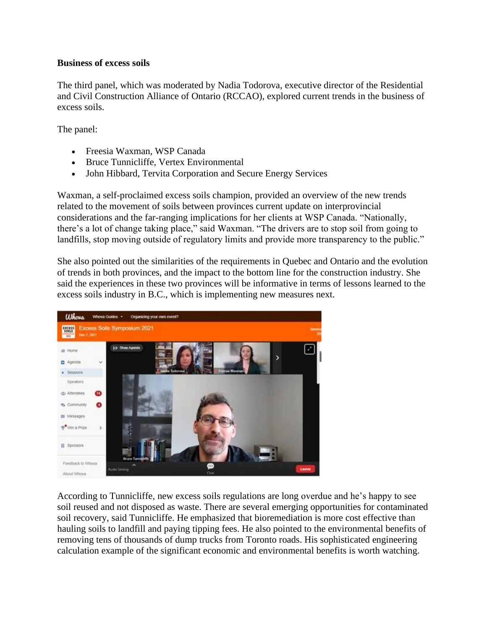#### **Business of excess soils**

The third panel, which was moderated by Nadia Todorova, executive director of the Residential and Civil Construction Alliance of Ontario (RCCAO), explored current trends in the business of excess soils.

The panel:

- Freesia Waxman, WSP Canada
- Bruce Tunnicliffe, Vertex Environmental
- John Hibbard, Tervita Corporation and Secure Energy Services

Waxman, a self-proclaimed excess soils champion, provided an overview of the new trends related to the movement of soils between provinces current update on interprovincial considerations and the far-ranging implications for her clients at WSP Canada. "Nationally, there's a lot of change taking place," said Waxman. "The drivers are to stop soil from going to landfills, stop moving outside of regulatory limits and provide more transparency to the public."

She also pointed out the similarities of the requirements in Quebec and Ontario and the evolution of trends in both provinces, and the impact to the bottom line for the construction industry. She said the experiences in these two provinces will be informative in terms of lessons learned to the excess soils industry in B.C., which is implementing new measures next.



According to Tunnicliffe, new excess soils regulations are long overdue and he's happy to see soil reused and not disposed as waste. There are several emerging opportunities for contaminated soil recovery, said Tunnicliffe. He emphasized that bioremediation is more cost effective than hauling soils to landfill and paying tipping fees. He also pointed to the environmental benefits of removing tens of thousands of dump trucks from Toronto roads. His sophisticated engineering calculation example of the significant economic and environmental benefits is worth watching.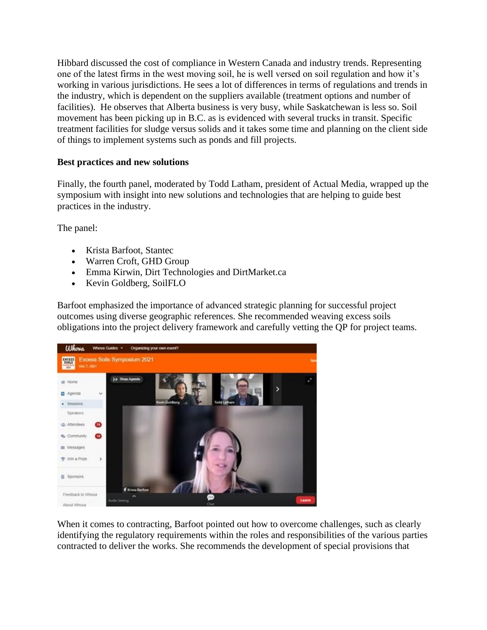Hibbard discussed the cost of compliance in Western Canada and industry trends. Representing one of the latest firms in the west moving soil, he is well versed on soil regulation and how it's working in various jurisdictions. He sees a lot of differences in terms of regulations and trends in the industry, which is dependent on the suppliers available (treatment options and number of facilities). He observes that Alberta business is very busy, while Saskatchewan is less so. Soil movement has been picking up in B.C. as is evidenced with several trucks in transit. Specific treatment facilities for sludge versus solids and it takes some time and planning on the client side of things to implement systems such as ponds and fill projects.

#### **Best practices and new solutions**

Finally, the fourth panel, moderated by Todd Latham, president of Actual Media, wrapped up the symposium with insight into new solutions and technologies that are helping to guide best practices in the industry.

The panel:

- Krista Barfoot, Stantec
- Warren Croft, GHD Group
- Emma Kirwin, Dirt Technologies and DirtMarket.ca
- Kevin Goldberg, SoilFLO

Barfoot emphasized the importance of advanced strategic planning for successful project outcomes using diverse geographic references. She recommended weaving excess soils obligations into the project delivery framework and carefully vetting the QP for project teams.



When it comes to contracting, Barfoot pointed out how to overcome challenges, such as clearly identifying the regulatory requirements within the roles and responsibilities of the various parties contracted to deliver the works. She recommends the development of special provisions that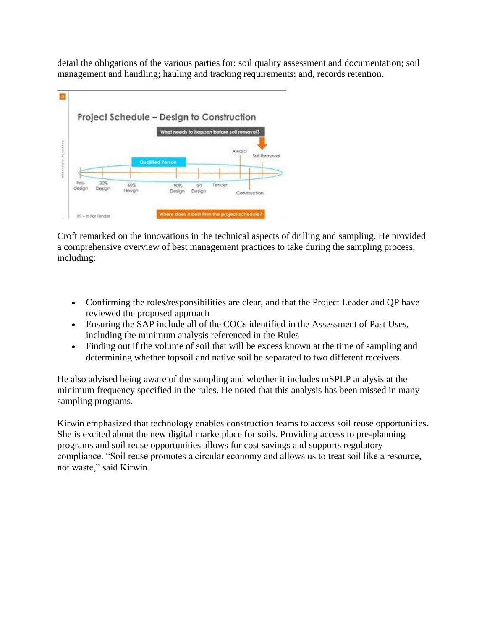detail the obligations of the various parties for: soil quality assessment and documentation; soil management and handling; hauling and tracking requirements; and, records retention.



Croft remarked on the innovations in the technical aspects of drilling and sampling. He provided a comprehensive overview of best management practices to take during the sampling process, including:

- Confirming the roles/responsibilities are clear, and that the Project Leader and QP have reviewed the proposed approach
- Ensuring the SAP include all of the COCs identified in the Assessment of Past Uses, including the minimum analysis referenced in the Rules
- Finding out if the volume of soil that will be excess known at the time of sampling and determining whether topsoil and native soil be separated to two different receivers.

He also advised being aware of the sampling and whether it includes mSPLP analysis at the minimum frequency specified in the rules. He noted that this analysis has been missed in many sampling programs.

Kirwin emphasized that technology enables construction teams to access soil reuse opportunities. She is excited about the new digital marketplace for soils. Providing access to pre-planning programs and soil reuse opportunities allows for cost savings and supports regulatory compliance. "Soil reuse promotes a circular economy and allows us to treat soil like a resource, not waste," said Kirwin.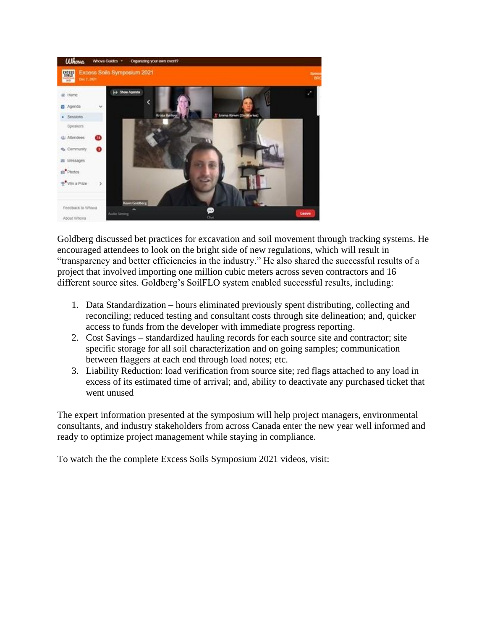

Goldberg discussed bet practices for excavation and soil movement through tracking systems. He encouraged attendees to look on the bright side of new regulations, which will result in "transparency and better efficiencies in the industry." He also shared the successful results of a project that involved importing one million cubic meters across seven contractors and 16 different source sites. Goldberg's SoilFLO system enabled successful results, including:

- 1. Data Standardization hours eliminated previously spent distributing, collecting and reconciling; reduced testing and consultant costs through site delineation; and, quicker access to funds from the developer with immediate progress reporting.
- 2. Cost Savings standardized hauling records for each source site and contractor; site specific storage for all soil characterization and on going samples; communication between flaggers at each end through load notes; etc.
- 3. Liability Reduction: load verification from source site; red flags attached to any load in excess of its estimated time of arrival; and, ability to deactivate any purchased ticket that went unused

The expert information presented at the symposium will help project managers, environmental consultants, and industry stakeholders from across Canada enter the new year well informed and ready to optimize project management while staying in compliance.

To watch the the complete Excess Soils Symposium 2021 videos, visit: